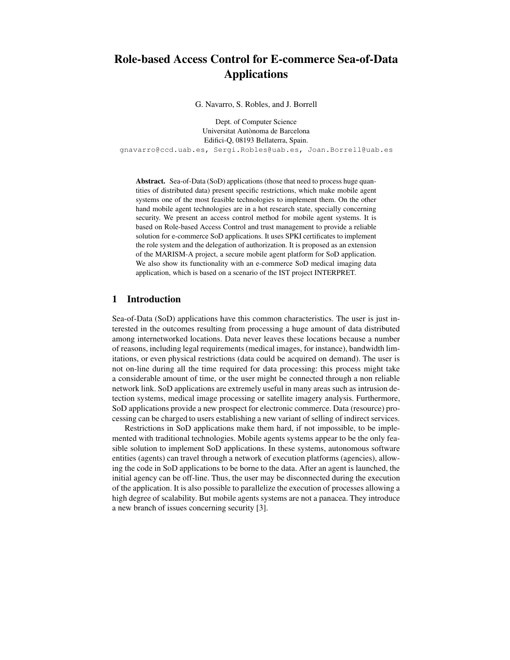# **Role-based Access Control for E-commerce Sea-of-Data Applications**

G. Navarro, S. Robles, and J. Borrell

Dept. of Computer Science Universitat Autònoma de Barcelona Edifici-Q, 08193 Bellaterra, Spain. gnavarro@ccd.uab.es, Sergi.Robles@uab.es, Joan.Borrell@uab.es

**Abstract.** Sea-of-Data (SoD) applications (those that need to process huge quantities of distributed data) present specific restrictions, which make mobile agent systems one of the most feasible technologies to implement them. On the other hand mobile agent technologies are in a hot research state, specially concerning security. We present an access control method for mobile agent systems. It is based on Role-based Access Control and trust management to provide a reliable solution for e-commerce SoD applications. It uses SPKI certificates to implement the role system and the delegation of authorization. It is proposed as an extension of the MARISM-A project, a secure mobile agent platform for SoD application. We also show its functionality with an e-commerce SoD medical imaging data application, which is based on a scenario of the IST project INTERPRET.

### **1 Introduction**

Sea-of-Data (SoD) applications have this common characteristics. The user is just interested in the outcomes resulting from processing a huge amount of data distributed among internetworked locations. Data never leaves these locations because a number of reasons, including legal requirements (medical images, for instance), bandwidth limitations, or even physical restrictions (data could be acquired on demand). The user is not on-line during all the time required for data processing: this process might take a considerable amount of time, or the user might be connected through a non reliable network link. SoD applications are extremely useful in many areas such as intrusion detection systems, medical image processing or satellite imagery analysis. Furthermore, SoD applications provide a new prospect for electronic commerce. Data (resource) processing can be charged to users establishing a new variant of selling of indirect services.

Restrictions in SoD applications make them hard, if not impossible, to be implemented with traditional technologies. Mobile agents systems appear to be the only feasible solution to implement SoD applications. In these systems, autonomous software entities (agents) can travel through a network of execution platforms (agencies), allowing the code in SoD applications to be borne to the data. After an agent is launched, the initial agency can be off-line. Thus, the user may be disconnected during the execution of the application. It is also possible to parallelize the execution of processes allowing a high degree of scalability. But mobile agents systems are not a panacea. They introduce a new branch of issues concerning security [3].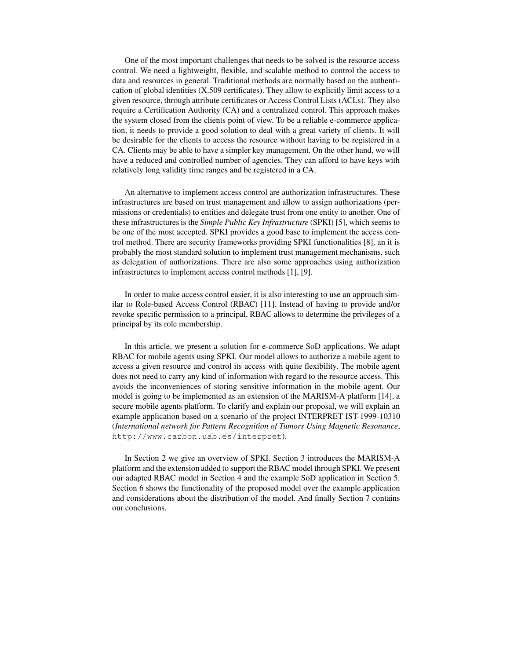One of the most important challenges that needs to be solved is the resource access control. We need a lightweight, flexible, and scalable method to control the access to data and resources in general. Traditional methods are normally based on the authentication of global identities (X.509 certificates). They allow to explicitly limit access to a given resource, through attribute certificates or Access Control Lists (ACLs). They also require a Certification Authority (CA) and a centralized control. This approach makes the system closed from the clients point of view. To be a reliable e-commerce application, it needs to provide a good solution to deal with a great variety of clients. It will be desirable for the clients to access the resource without having to be registered in a CA. Clients may be able to have a simpler key management. On the other hand, we will have a reduced and controlled number of agencies. They can afford to have keys with relatively long validity time ranges and be registered in a CA.

An alternative to implement access control are authorization infrastructures. These infrastructures are based on trust management and allow to assign authorizations (permissions or credentials) to entities and delegate trust from one entity to another. One of these infrastructures is the *Simple Public Key Infrastructure* (SPKI) [5], which seems to be one of the most accepted. SPKI provides a good base to implement the access control method. There are security frameworks providing SPKI functionalities [8], an it is probably the most standard solution to implement trust management mechanisms, such as delegation of authorizations. There are also some approaches using authorization infrastructures to implement access control methods [1], [9].

In order to make access control easier, it is also interesting to use an approach similar to Role-based Access Control (RBAC) [11]. Instead of having to provide and/or revoke specific permission to a principal, RBAC allows to determine the privileges of a principal by its role membership.

In this article, we present a solution for e-commerce SoD applications. We adapt RBAC for mobile agents using SPKI. Our model allows to authorize a mobile agent to access a given resource and control its access with quite flexibility. The mobile agent does not need to carry any kind of information with regard to the resource access. This avoids the inconveniences of storing sensitive information in the mobile agent. Our model is going to be implemented as an extension of the MARISM-A platform [14], a secure mobile agents platform. To clarify and explain our proposal, we will explain an example application based on a scenario of the project INTERPRET IST-1999-10310 (*International network for Pattern Recognition of Tumors Using Magnetic Resonance*, http://www.carbon.uab.es/interpret).

In Section 2 we give an overview of SPKI. Section 3 introduces the MARISM-A platform and the extension added to support the RBAC model through SPKI. We present our adapted RBAC model in Section 4 and the example SoD application in Section 5. Section 6 shows the functionality of the proposed model over the example application and considerations about the distribution of the model. And finally Section 7 contains our conclusions.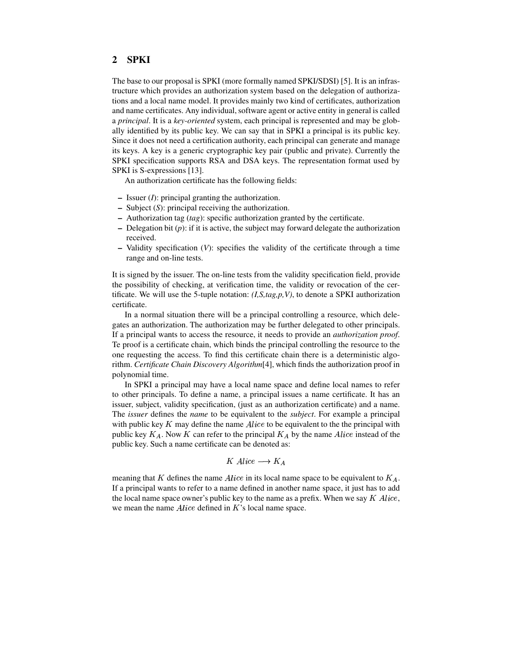## **2 SPKI**

The base to our proposal is SPKI (more formally named SPKI/SDSI) [5]. It is an infrastructure which provides an authorization system based on the delegation of authorizations and a local name model. It provides mainly two kind of certificates, authorization and name certificates. Any individual, software agent or active entity in general is called a *principal*. It is a *key-oriented* system, each principal is represented and may be globally identified by its public key. We can say that in SPKI a principal is its public key. Since it does not need a certification authority, each principal can generate and manage its keys. A key is a generic cryptographic key pair (public and private). Currently the SPKI specification supports RSA and DSA keys. The representation format used by SPKI is S-expressions [13].

An authorization certificate has the following fields:

- **–** Issuer (*I*): principal granting the authorization.
- **–** Subject (*S*): principal receiving the authorization.
- **–** Authorization tag (*tag*): specific authorization granted by the certificate.
- **–** Delegation bit (*p*): if it is active, the subject may forward delegate the authorization received.
- **–** Validity specification (*V*): specifies the validity of the certificate through a time range and on-line tests.

It is signed by the issuer. The on-line tests from the validity specification field, provide the possibility of checking, at verification time, the validity or revocation of the certificate. We will use the 5-tuple notation: *(I,S,tag,p,V)*, to denote a SPKI authorization certificate.

In a normal situation there will be a principal controlling a resource, which delegates an authorization. The authorization may be further delegated to other principals. If a principal wants to access the resource, it needs to provide an *authorization proof*. Te proof is a certificate chain, which binds the principal controlling the resource to the one requesting the access. To find this certificate chain there is a deterministic algorithm. *Certificate Chain Discovery Algorithm*[4], which finds the authorization proof in polynomial time.

In SPKI a principal may have a local name space and define local names to refer to other principals. To define a name, a principal issues a name certificate. It has an issuer, subject, validity specification, (just as an authorization certificate) and a name. The *issuer* defines the *name* to be equivalent to the *subject*. For example a principal with public key K may define the name  $Alice$  to be equivalent to the the principal with public key  $K_A$ . Now K can refer to the principal  $K_A$  by the name Alice instead of the public key. Such a name certificate can be denoted as:

$$
K \; Alice \longrightarrow K_A
$$

meaning that K defines the name  $Alice$  in its local name space to be equivalent to  $K_A$ . If a principal wants to refer to a name defined in another name space, it just has to add the local name space owner's public key to the name as a prefix. When we say  $K$   $Alice$ , we mean the name  $Alice$  defined in  $K$ 's local name space.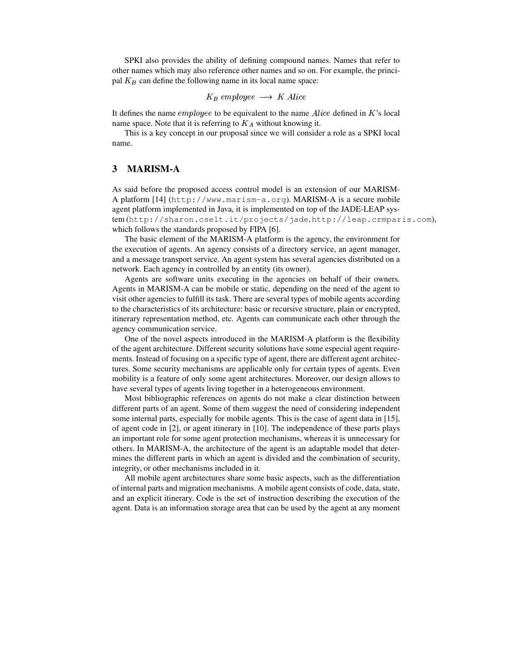SPKI also provides the ability of defining compound names. Names that refer to other names which may also reference other names and so on. For example, the principal  $K_B$  can define the following name in its local name space:

$$
K_B \; employee \; \longrightarrow \; K \; Alice
$$

It defines the name  $\emph{employee}$  to be equivalent to the name  $\emph{Alice}$  defined in K's local name space. Note that it is referring to  $K_A$  without knowing it.

This is a key concept in our proposal since we will consider a role as a SPKI local name.

### **3 MARISM-A**

As said before the proposed access control model is an extension of our MARISM-A platform [14] (http://www.marism-a.org). MARISM-A is a secure mobile agent platform implemented in Java, it is implemented on top of the JADE-LEAP system (http://sharon.cselt.it/projects/jade,http://leap.crmparis.com), which follows the standards proposed by FIPA [6].

The basic element of the MARISM-A platform is the agency, the environment for the execution of agents. An agency consists of a directory service, an agent manager, and a message transport service. An agent system has several agencies distributed on a network. Each agency in controlled by an entity (its owner).

Agents are software units executing in the agencies on behalf of their owners. Agents in MARISM-A can be mobile or static, depending on the need of the agent to visit other agencies to fulfill its task. There are several types of mobile agents according to the characteristics of its architecture: basic or recursive structure, plain or encrypted, itinerary representation method, etc. Agents can communicate each other through the agency communication service.

One of the novel aspects introduced in the MARISM-A platform is the flexibility of the agent architecture. Different security solutions have some especial agent requirements. Instead of focusing on a specific type of agent, there are different agent architectures. Some security mechanisms are applicable only for certain types of agents. Even mobility is a feature of only some agent architectures. Moreover, our design allows to have several types of agents living together in a heterogeneous environment.

Most bibliographic references on agents do not make a clear distinction between different parts of an agent. Some of them suggest the need of considering independent some internal parts, especially for mobile agents. This is the case of agent data in [15], of agent code in [2], or agent itinerary in [10]. The independence of these parts plays an important role for some agent protection mechanisms, whereas it is unnecessary for others. In MARISM-A, the architecture of the agent is an adaptable model that determines the different parts in which an agent is divided and the combination of security, integrity, or other mechanisms included in it.

All mobile agent architectures share some basic aspects, such as the differentiation of internal parts and migration mechanisms. A mobile agent consists of code, data, state, and an explicit itinerary. Code is the set of instruction describing the execution of the agent. Data is an information storage area that can be used by the agent at any moment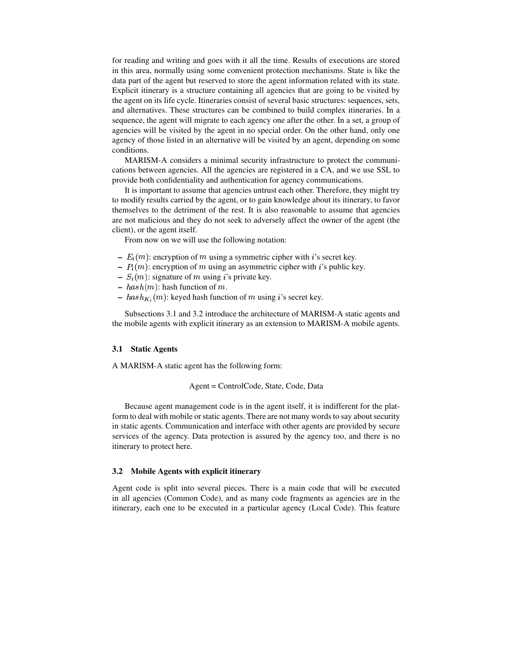for reading and writing and goes with it all the time. Results of executions are stored in this area, normally using some convenient protection mechanisms. State is like the data part of the agent but reserved to store the agent information related with its state. Explicit itinerary is a structure containing all agencies that are going to be visited by the agent on its life cycle. Itineraries consist of several basic structures: sequences, sets, and alternatives. These structures can be combined to build complex itineraries. In a sequence, the agent will migrate to each agency one after the other. In a set, a group of agencies will be visited by the agent in no special order. On the other hand, only one agency of those listed in an alternative will be visited by an agent, depending on some conditions.

MARISM-A considers a minimal security infrastructure to protect the communications between agencies. All the agencies are registered in a CA, and we use SSL to provide both confidentiality and authentication for agency communications.

It is important to assume that agencies untrust each other. Therefore, they might try to modify results carried by the agent, or to gain knowledge about its itinerary, to favor themselves to the detriment of the rest. It is also reasonable to assume that agencies are not malicious and they do not seek to adversely affect the owner of the agent (the client), or the agent itself.

From now on we will use the following notation:

- $E_i(m)$ : encryption of m using a symmetric cipher with *i*'s secret key.
- $P_i(m)$ : encryption of m using an asymmetric cipher with *i*'s public key.
- $S_i(m)$ : signature of m using *i*'s private key.
- $-$  hash function of m.
- *–*  $hash_{K_i}(m)$ : keyed hash function of  $m$  using  $i$ 's secret key.

Subsections 3.1 and 3.2 introduce the architecture of MARISM-A static agents and the mobile agents with explicit itinerary as an extension to MARISM-A mobile agents.

#### **3.1 Static Agents**

A MARISM-A static agent has the following form:

Agent = ControlCode, State, Code, Data

Because agent management code is in the agent itself, it is indifferent for the platform to deal with mobile or static agents. There are not many words to say about security in static agents. Communication and interface with other agents are provided by secure services of the agency. Data protection is assured by the agency too, and there is no itinerary to protect here.

### **3.2 Mobile Agents with explicit itinerary**

Agent code is split into several pieces. There is a main code that will be executed in all agencies (Common Code), and as many code fragments as agencies are in the itinerary, each one to be executed in a particular agency (Local Code). This feature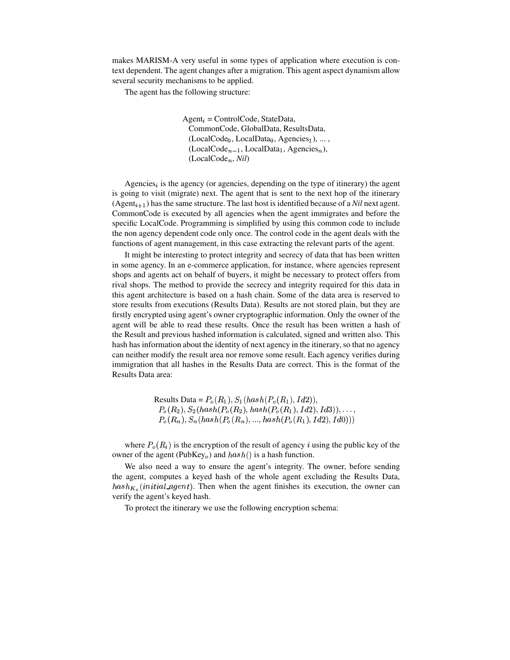makes MARISM-A very useful in some types of application where execution is context dependent. The agent changes after a migration. This agent aspect dynamism allow several security mechanisms to be applied.

The agent has the following structure:

 $Agent_i = ControlCode$ , StateData, CommonCode, GlobalData, ResultsData,  $(LocalCode<sub>0</sub>, LocalData<sub>0</sub>, Agency  $\dots$ ,$  $(LocalCode<sub>n-1</sub>, LocalData<sub>1</sub>, Agencies<sub>n</sub>),$ (LocalCode<sub>n</sub>, *Nil*)

Agencies<sub>i</sub> is the agency (or agencies, depending on the type of itinerary) the agent is going to visit (migrate) next. The agent that is sent to the next hop of the itinerary  $(Agent_{i+1})$  has the same structure. The last host is identified because of a *Nil* next agent. CommonCode is executed by all agencies when the agent immigrates and before the specific LocalCode. Programming is simplified by using this common code to include the non agency dependent code only once. The control code in the agent deals with the functions of agent management, in this case extracting the relevant parts of the agent.

It might be interesting to protect integrity and secrecy of data that has been written in some agency. In an e-commerce application, for instance, where agencies represent shops and agents act on behalf of buyers, it might be necessary to protect offers from rival shops. The method to provide the secrecy and integrity required for this data in this agent architecture is based on a hash chain. Some of the data area is reserved to store results from executions (Results Data). Results are not stored plain, but they are firstly encrypted using agent's owner cryptographic information. Only the owner of the agent will be able to read these results. Once the result has been written a hash of the Result and previous hashed information is calculated, signed and written also. This hash has information about the identity of next agency in the itinerary, so that no agency can neither modify the result area nor remove some result. Each agency verifies during immigration that all hashes in the Results Data are correct. This is the format of the Results Data area:

> Results Data =  $P_o(R_1), S_1(hash(P_o(R_1), Id2)),$  $P_o(R_2),S_2(hash(P_o(R_2),hash(P_o(R_1),Id2),Id3)),\ldots,$  $P_o(R_n), S_n(hash(P_o(R_n),...,hash(P_o(R_1),Id2),Id0)))$

where  $P_o(R_i)$  is the encryption of the result of agency *i* using the public key of the owner of the agent (PubKey<sub>o</sub>) and  $hash()$  is a hash function.

We also need a way to ensure the agent's integrity. The owner, before sending the agent, computes a keyed hash of the whole agent excluding the Results Data,  $hash_{K_n}(initial\_agent)$ . Then when the agent finishes its execution, the owner can verify the agent's keyed hash.

To protect the itinerary we use the following encryption schema: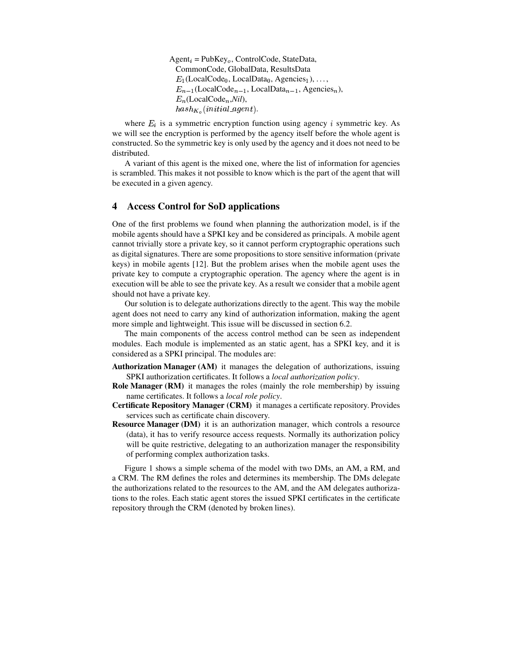$Agent_i = PubKey_o, ControlCode, StateData,$ CommonCode, GlobalData, ResultsData  $E_1$ (LocalCode<sub>0</sub>, LocalData<sub>0</sub>, Agencies<sub>1</sub>), ...,  $E_{n-1}$ (LocalCode<sub>n-1</sub>, LocalData<sub>n-1</sub>, Agencies<sub>n</sub>),  $E_n$ (LocalCode $_n$ ,*Nil*),  $hash_{K_o}(initial\textit{.}agent).$ 

where  $E_i$  is a symmetric encryption function using agency  $i$  symmetric key. As we will see the encryption is performed by the agency itself before the whole agent is constructed. So the symmetric key is only used by the agency and it does not need to be distributed.

A variant of this agent is the mixed one, where the list of information for agencies is scrambled. This makes it not possible to know which is the part of the agent that will be executed in a given agency.

### **4 Access Control for SoD applications**

One of the first problems we found when planning the authorization model, is if the mobile agents should have a SPKI key and be considered as principals. A mobile agent cannot trivially store a private key, so it cannot perform cryptographic operations such as digital signatures. There are some propositions to store sensitive information (private keys) in mobile agents [12]. But the problem arises when the mobile agent uses the private key to compute a cryptographic operation. The agency where the agent is in execution will be able to see the private key. As a result we consider that a mobile agent should not have a private key.

Our solution is to delegate authorizations directly to the agent. This way the mobile agent does not need to carry any kind of authorization information, making the agent more simple and lightweight. This issue will be discussed in section 6.2.

The main components of the access control method can be seen as independent modules. Each module is implemented as an static agent, has a SPKI key, and it is considered as a SPKI principal. The modules are:

- **Authorization Manager (AM)** it manages the delegation of authorizations, issuing SPKI authorization certificates. It follows a *local authorization policy*.
- **Role Manager (RM)** it manages the roles (mainly the role membership) by issuing name certificates. It follows a *local role policy*.
- **Certificate Repository Manager (CRM)** it manages a certificate repository. Provides services such as certificate chain discovery.
- **Resource Manager (DM)** it is an authorization manager, which controls a resource (data), it has to verify resource access requests. Normally its authorization policy will be quite restrictive, delegating to an authorization manager the responsibility of performing complex authorization tasks.

Figure 1 shows a simple schema of the model with two DMs, an AM, a RM, and a CRM. The RM defines the roles and determines its membership. The DMs delegate the authorizations related to the resources to the AM, and the AM delegates authorizations to the roles. Each static agent stores the issued SPKI certificates in the certificate repository through the CRM (denoted by broken lines).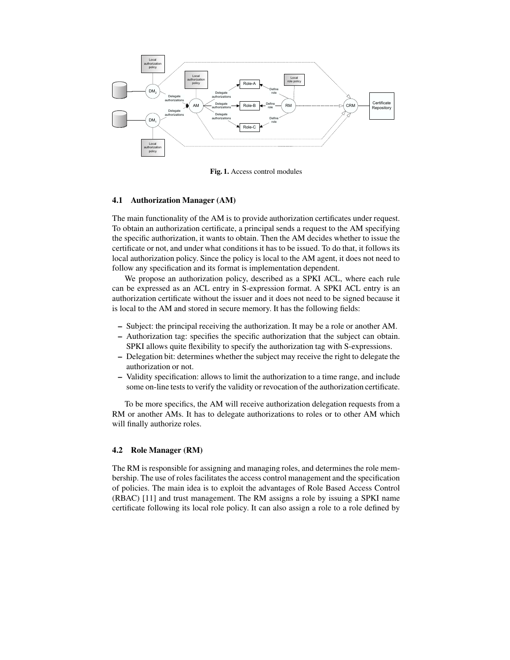

**Fig. 1.** Access control modules

#### **4.1 Authorization Manager (AM)**

The main functionality of the AM is to provide authorization certificates under request. To obtain an authorization certificate, a principal sends a request to the AM specifying the specific authorization, it wants to obtain. Then the AM decides whether to issue the certificate or not, and under what conditions it has to be issued. To do that, it follows its local authorization policy. Since the policy is local to the AM agent, it does not need to follow any specification and its format is implementation dependent.

We propose an authorization policy, described as a SPKI ACL, where each rule can be expressed as an ACL entry in S-expression format. A SPKI ACL entry is an authorization certificate without the issuer and it does not need to be signed because it is local to the AM and stored in secure memory. It has the following fields:

- **–** Subject: the principal receiving the authorization. It may be a role or another AM.
- **–** Authorization tag: specifies the specific authorization that the subject can obtain. SPKI allows quite flexibility to specify the authorization tag with S-expressions.
- **–** Delegation bit: determines whether the subject may receive the right to delegate the authorization or not.
- **–** Validity specification: allows to limit the authorization to a time range, and include some on-line tests to verify the validity or revocation of the authorization certificate.

To be more specifics, the AM will receive authorization delegation requests from a RM or another AMs. It has to delegate authorizations to roles or to other AM which will finally authorize roles.

### **4.2 Role Manager (RM)**

The RM is responsible for assigning and managing roles, and determines the role membership. The use of roles facilitates the access control management and the specification of policies. The main idea is to exploit the advantages of Role Based Access Control (RBAC) [11] and trust management. The RM assigns a role by issuing a SPKI name certificate following its local role policy. It can also assign a role to a role defined by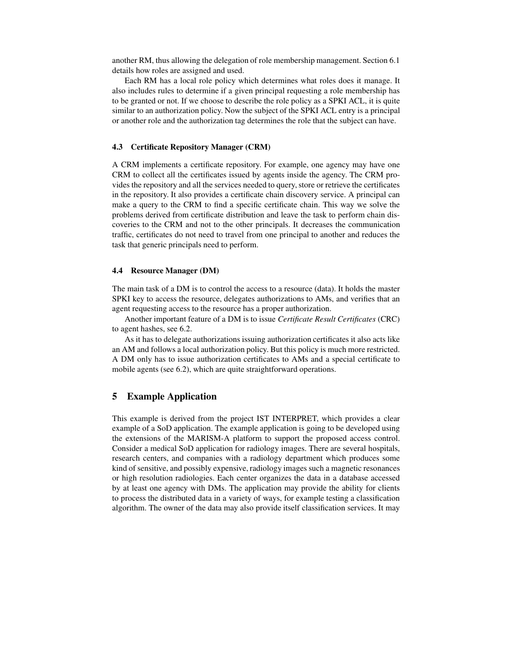another RM, thus allowing the delegation of role membership management. Section 6.1 details how roles are assigned and used.

Each RM has a local role policy which determines what roles does it manage. It also includes rules to determine if a given principal requesting a role membership has to be granted or not. If we choose to describe the role policy as a SPKI ACL, it is quite similar to an authorization policy. Now the subject of the SPKI ACL entry is a principal or another role and the authorization tag determines the role that the subject can have.

#### **4.3 Certificate Repository Manager (CRM)**

A CRM implements a certificate repository. For example, one agency may have one CRM to collect all the certificates issued by agents inside the agency. The CRM provides the repository and all the services needed to query,store or retrieve the certificates in the repository. It also provides a certificate chain discovery service. A principal can make a query to the CRM to find a specific certificate chain. This way we solve the problems derived from certificate distribution and leave the task to perform chain discoveries to the CRM and not to the other principals. It decreases the communication traffic, certificates do not need to travel from one principal to another and reduces the task that generic principals need to perform.

#### **4.4 Resource Manager (DM)**

The main task of a DM is to control the access to a resource (data). It holds the master SPKI key to access the resource, delegates authorizations to AMs, and verifies that an agent requesting access to the resource has a proper authorization.

Another important feature of a DM is to issue *Certificate Result Certificates* (CRC) to agent hashes, see 6.2.

As it has to delegate authorizations issuing authorization certificates it also acts like an AM and follows a local authorization policy. But this policy is much more restricted. A DM only has to issue authorization certificates to AMs and a special certificate to mobile agents (see 6.2), which are quite straightforward operations.

### **5 Example Application**

This example is derived from the project IST INTERPRET, which provides a clear example of a SoD application. The example application is going to be developed using the extensions of the MARISM-A platform to support the proposed access control. Consider a medical SoD application for radiology images. There are several hospitals, research centers, and companies with a radiology department which produces some kind of sensitive, and possibly expensive, radiology images such a magnetic resonances or high resolution radiologies. Each center organizes the data in a database accessed by at least one agency with DMs. The application may provide the ability for clients to process the distributed data in a variety of ways, for example testing a classification algorithm. The owner of the data may also provide itself classification services. It may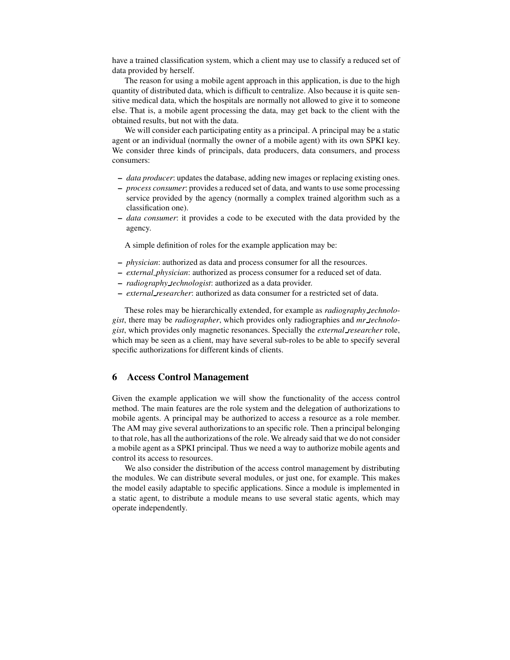have a trained classification system, which a client may use to classify a reduced set of data provided by herself.

The reason for using a mobile agent approach in this application, is due to the high quantity of distributed data, which is difficult to centralize. Also because it is quite sensitive medical data, which the hospitals are normally not allowed to give it to someone else. That is, a mobile agent processing the data, may get back to the client with the obtained results, but not with the data.

We will consider each participating entity as a principal. A principal may be a static agent or an individual (normally the owner of a mobile agent) with its own SPKI key. We consider three kinds of principals, data producers, data consumers, and process consumers:

- **–** *data producer*: updates the database, adding new images or replacing existing ones.
- **–** *process consumer*: provides a reduced set of data, and wants to use some processing service provided by the agency (normally a complex trained algorithm such as a classification one).
- **–** *data consumer*: it provides a code to be executed with the data provided by the agency.

A simple definition of roles for the example application may be:

- **–** *physician*: authorized as data and process consumer for all the resources.
- **–** *external physician*: authorized as process consumer for a reduced set of data.
- **–** *radiography technologist*: authorized as a data provider.
- **–** *external researcher*: authorized as data consumer for a restricted set of data.

These roles may be hierarchically extended, for example as *radiography technologist*, there may be *radiographer*, which provides only radiographies and *mr technologist*, which provides only magnetic resonances. Specially the *external researcher* role, which may be seen as a client, may have several sub-roles to be able to specify several specific authorizations for different kinds of clients.

### **6 Access Control Management**

Given the example application we will show the functionality of the access control method. The main features are the role system and the delegation of authorizations to mobile agents. A principal may be authorized to access a resource as a role member. The AM may give several authorizations to an specific role. Then a principal belonging to that role, has all the authorizations of the role. We already said that we do not consider a mobile agent as a SPKI principal. Thus we need a way to authorize mobile agents and control its access to resources.

We also consider the distribution of the access control management by distributing the modules. We can distribute several modules, or just one, for example. This makes the model easily adaptable to specific applications. Since a module is implemented in a static agent, to distribute a module means to use several static agents, which may operate independently.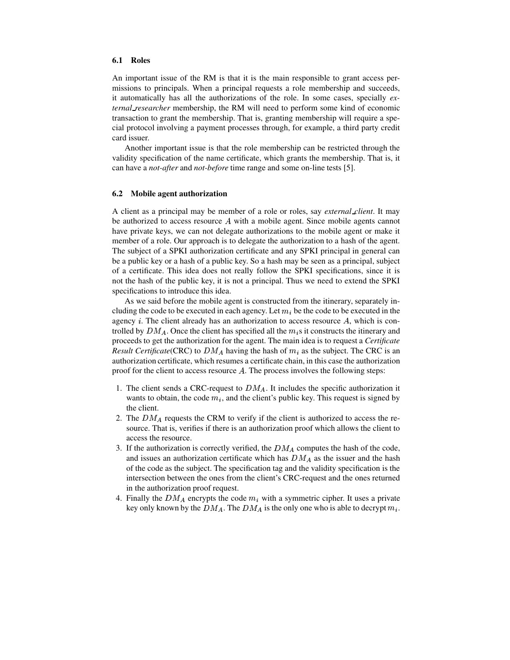### **6.1 Roles**

An important issue of the RM is that it is the main responsible to grant access permissions to principals. When a principal requests a role membership and succeeds, it automatically has all the authorizations of the role. In some cases, specially *external researcher* membership, the RM will need to perform some kind of economic transaction to grant the membership. That is, granting membership will require a special protocol involving a payment processes through, for example, a third party credit card issuer.

Another important issue is that the role membership can be restricted through the validity specification of the name certificate, which grants the membership. That is, it can have a *not-after* and *not-before* time range and some on-line tests [5].

#### **6.2 Mobile agent authorization**

A client as a principal may be member of a role or roles, say *external client*. It may be authorized to access resource  $\vec{A}$  with a mobile agent. Since mobile agents cannot have private keys, we can not delegate authorizations to the mobile agent or make it member of a role. Our approach is to delegate the authorization to a hash of the agent. The subject of a SPKI authorization certificate and any SPKI principal in general can be a public key or a hash of a public key. So a hash may be seen as a principal, subject of a certificate. This idea does not really follow the SPKI specifications, since it is not the hash of the public key, it is not a principal. Thus we need to extend the SPKI specifications to introduce this idea.

As we said before the mobile agent is constructed from the itinerary, separately including the code to be executed in each agency. Let  $m_i$  be the code to be executed in the agency  $i$ . The client already has an authorization to access resource  $A$ , which is controlled by  $DM_A$ . Once the client has specified all the  $m_i$ s it constructs the itinerary and proceeds to get the authorization for the agent. The main idea is to request a *Certificate Result Certificate*(CRC) to  $DM_A$  having the hash of  $m_i$  as the subject. The CRC is an authorization certificate, which resumes a certificate chain, in this case the authorization proof for the client to access resource  $A$ . The process involves the following steps:

- 1. The client sends a CRC-request to  $DM_A$ . It includes the specific authorization it wants to obtain, the code  $m_i$ , and the client's public key. This request is signed by the client.
- 2. The  $DM_A$  requests the CRM to verify if the client is authorized to access the resource. That is, verifies if there is an authorization proof which allows the client to access the resource.
- 3. If the authorization is correctly verified, the  $\langle DM_A \rangle$  computes the hash of the code, and issues an authorization certificate which has  $DM_A$  as the issuer and the hash of the code as the subject. The specification tag and the validity specification is the intersection between the ones from the client's CRC-request and the ones returned in the authorization proof request.
- 4. Finally the  $DM_A$  encrypts the code  $m_i$  with a symmetric cipher. It uses a private key only known by the  $\mathcal{D}\mathcal{M}_A$ . The  $\mathcal{D}\mathcal{M}_A$  is the only one who is able to decrypt  $m_i$ .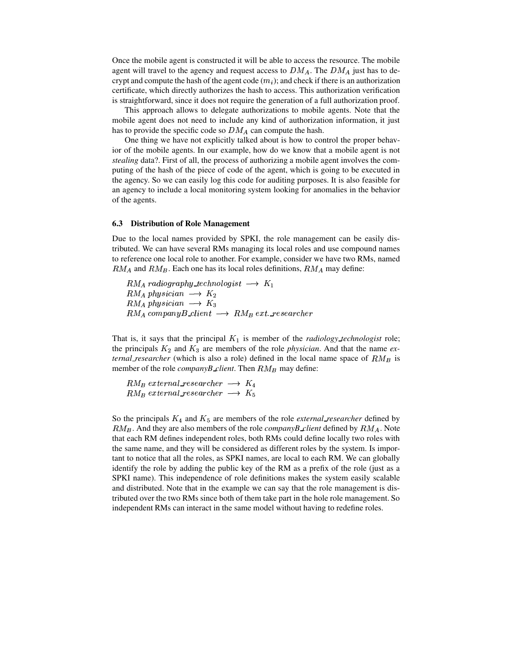Once the mobile agent is constructed it will be able to access the resource. The mobile agent will travel to the agency and request access to  $DM_A$ . The  $DM_A$  just has to decrypt and compute the hash of the agent code  $(m_i)$ ; and check if there is an authorization certificate, which directly authorizes the hash to access. This authorization verification is straightforward, since it does not require the generation of a full authorization proof.

This approach allows to delegate authorizations to mobile agents. Note that the mobile agent does not need to include any kind of authorization information, it just has to provide the specific code so  $DM_A$  can compute the hash.

One thing we have not explicitly talked about is how to control the proper behavior of the mobile agents. In our example, how do we know that a mobile agent is not *stealing* data?. First of all, the process of authorizing a mobile agent involves the computing of the hash of the piece of code of the agent, which is going to be executed in the agency. So we can easily log this code for auditing purposes. It is also feasible for an agency to include a local monitoring system looking for anomalies in the behavior of the agents.

#### **6.3 Distribution of Role Management**

Due to the local names provided by SPKI, the role management can be easily distributed. We can have several RMs managing its local roles and use compound names to reference one local role to another. For example, consider we have two RMs, named  $RM_A$  and  $RM_B$ . Each one has its local roles definitions,  $RM_A$  may define:

 $RM_A$  radioaraphy technologist  $\longrightarrow$   $K_1$ 99 - Paul Barbara, actor a construction of the construction of the construction of the construction of the construction of the construction of the construction of the construction of the construction of the construction of  $RM_A$  physician  $\longrightarrow$  K<sub>2</sub>  $RM_A$  physician  $\longrightarrow$  K<sub>3</sub>  $RM_A$  company B\_client  $\longrightarrow RM_B$  ext.\_researcher

That is, it says that the principal  $K_1$  is member of the *radiology technologist* role; the principals  $K_2$  and  $K_3$  are members of the role *physician*. And that the name *external researcher* (which is also a role) defined in the local name space of  $RM_B$  is member of the role *companyB*  $\mathcal{L}$ *lient*. Then  $RM_B$  may define:

 $RM_B\ external\ researcher\ \longrightarrow\ K_A$  $RM_B\ external\ researcher\ \longrightarrow\ K_5$ 

So the principals  $K_4$  and  $K_5$  are members of the role *external researcher* defined by  $RM_B$ . And they are also members of the role *companyB <u>client*</u> defined by  $RM_A$ . Note that each RM defines independent roles, both RMs could define locally two roles with the same name, and they will be considered as different roles by the system. Is important to notice that all the roles, as SPKI names, are local to each RM. We can globally identify the role by adding the public key of the RM as a prefix of the role (just as a SPKI name). This independence of role definitions makes the system easily scalable and distributed. Note that in the example we can say that the role management is distributed over the two RMs since both of them take part in the hole role management. So independent RMs can interact in the same model without having to redefine roles.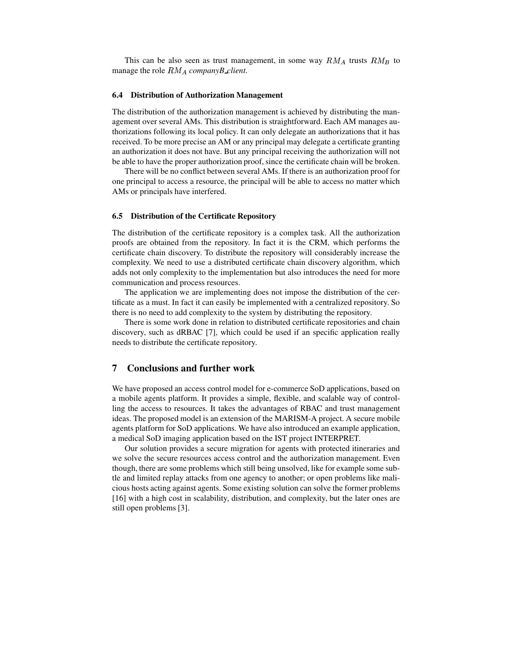This can be also seen as trust management, in some way  $RM_A$  trusts  $RM_B$  to manage the role  $RM_A$  *companyB client*.

#### **6.4 Distribution of Authorization Management**

The distribution of the authorization management is achieved by distributing the management over several AMs. This distribution is straightforward. Each AM manages authorizations following its local policy. It can only delegate an authorizations that it has received. To be more precise an AM or any principal may delegate a certificate granting an authorization it does not have. But any principal receiving the authorization will not be able to have the proper authorization proof, since the certificate chain will be broken.

There will be no conflict between several AMs. If there is an authorization proof for one principal to access a resource, the principal will be able to access no matter which AMs or principals have interfered.

### **6.5 Distribution of the Certificate Repository**

The distribution of the certificate repository is a complex task. All the authorization proofs are obtained from the repository. In fact it is the CRM, which performs the certificate chain discovery. To distribute the repository will considerably increase the complexity. We need to use a distributed certificate chain discovery algorithm, which adds not only complexity to the implementation but also introduces the need for more communication and process resources.

The application we are implementing does not impose the distribution of the certificate as a must. In fact it can easily be implemented with a centralized repository. So there is no need to add complexity to the system by distributing the repository.

There is some work done in relation to distributed certificate repositories and chain discovery, such as dRBAC [7], which could be used if an specific application really needs to distribute the certificate repository.

### **7 Conclusions and further work**

We have proposed an access control model for e-commerce SoD applications, based on a mobile agents platform. It provides a simple, flexible, and scalable way of controlling the access to resources. It takes the advantages of RBAC and trust management ideas. The proposed model is an extension of the MARISM-A project. A secure mobile agents platform for SoD applications. We have also introduced an example application, a medical SoD imaging application based on the IST project INTERPRET.

Our solution provides a secure migration for agents with protected itineraries and we solve the secure resources access control and the authorization management. Even though, there are some problems which still being unsolved, like for example some subtle and limited replay attacks from one agency to another; or open problems like malicious hosts acting against agents. Some existing solution can solve the former problems [16] with a high cost in scalability, distribution, and complexity, but the later ones are still open problems [3].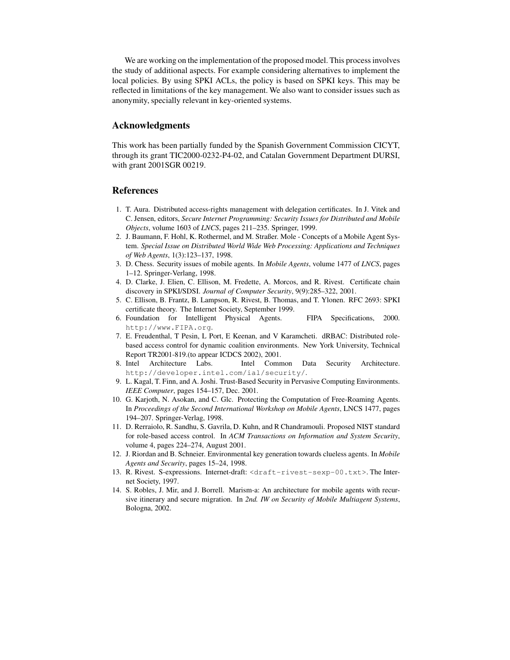We are working on the implementation of the proposed model. This processinvolves the study of additional aspects. For example considering alternatives to implement the local policies. By using SPKI ACLs, the policy is based on SPKI keys. This may be reflected in limitations of the key management. We also want to consider issues such as anonymity, specially relevant in key-oriented systems.

### **Acknowledgments**

This work has been partially funded by the Spanish Government Commission CICYT, through its grant TIC2000-0232-P4-02, and Catalan Government Department DURSI, with grant 2001SGR 00219.

### **References**

- 1. T. Aura. Distributed access-rights management with delegation certificates. In J. Vitek and C. Jensen, editors, *Secure Internet Programming: Security Issues for Distributed and Mobile Objects*, volume 1603 of *LNCS*, pages 211–235. Springer, 1999.
- 2. J. Baumann, F. Hohl, K. Rothermel, and M. Straßer. Mole Concepts of a Mobile Agent System. *Special Issue on Distributed World Wide Web Processing: Applications and Techniques of Web Agents*, 1(3):123–137, 1998.
- 3. D. Chess. Security issues of mobile agents. In *Mobile Agents*, volume 1477 of *LNCS*, pages 1–12. Springer-Verlang, 1998.
- 4. D. Clarke, J. Elien, C. Ellison, M. Fredette, A. Morcos, and R. Rivest. Certificate chain discovery in SPKI/SDSI. *Journal of Computer Security*, 9(9):285–322, 2001.
- 5. C. Ellison, B. Frantz, B. Lampson, R. Rivest, B. Thomas, and T. Ylonen. RFC 2693: SPKI certificate theory. The Internet Society, September 1999.
- 6. Foundation for Intelligent Physical Agents. FIPA Specifications, 2000. http://www.FIPA.org.
- 7. E. Freudenthal, T Pesin, L Port, E Keenan, and V Karamcheti. dRBAC: Distributed rolebased access control for dynamic coalition environments. New York University, Technical Report TR2001-819.(to appear ICDCS 2002), 2001.
- 8. Intel Architecture Labs. Intel Common Data Security Architecture. http://developer.intel.com/ial/security/.
- 9. L. Kagal, T. Finn, and A. Joshi. Trust-Based Security in Pervasive Computing Environments. *IEEE Computer*, pages 154–157, Dec. 2001.
- 10. G. Karjoth, N. Asokan, and C. Glc. Protecting the Computation of Free-Roaming Agents. In *Proceedings of the Second International Workshop on Mobile Agents*, LNCS 1477, pages 194–207. Springer-Verlag, 1998.
- 11. D. Rerraiolo, R. Sandhu, S. Gavrila, D. Kuhn, and R Chandramouli. Proposed NIST standard for role-based access control. In *ACM Transactions on Information and System Security*, volume 4, pages 224–274, August 2001.
- 12. J. Riordan and B. Schneier. Environmental key generation towards clueless agents. In *Mobile Agents and Security*, pages 15–24, 1998.
- 13. R. Rivest. S-expressions. Internet-draft: <draft-rivest-sexp-00.txt>. The Internet Society, 1997.
- 14. S. Robles, J. Mir, and J. Borrell. Marism-a: An architecture for mobile agents with recursive itinerary and secure migration. In *2nd. IW on Security of Mobile Multiagent Systems*, Bologna, 2002.